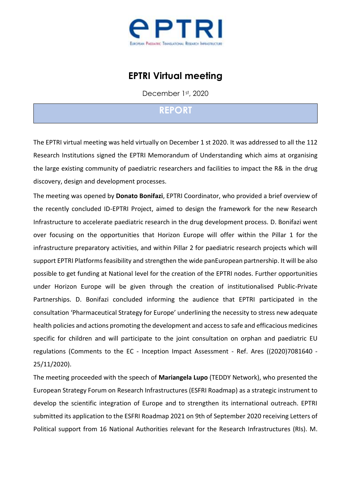

## **EPTRI Virtual meeting**

December 1st, 2020

## **REPORT**

The EPTRI virtual meeting was held virtually on December 1 st 2020. It was addressed to all the 112 Research Institutions signed the EPTRI Memorandum of Understanding which aims at organising the large existing community of paediatric researchers and facilities to impact the R& in the drug discovery, design and development processes.

The meeting was opened by **Donato Bonifazi**, EPTRI Coordinator, who provided a brief overview of the recently concluded ID-EPTRI Project, aimed to design the framework for the new Research Infrastructure to accelerate paediatric research in the drug development process. D. Bonifazi went over focusing on the opportunities that Horizon Europe will offer within the Pillar 1 for the infrastructure preparatory activities, and within Pillar 2 for paediatric research projects which will support EPTRI Platforms feasibility and strengthen the wide panEuropean partnership. It will be also possible to get funding at National level for the creation of the EPTRI nodes. Further opportunities under Horizon Europe will be given through the creation of institutionalised Public-Private Partnerships. D. Bonifazi concluded informing the audience that EPTRI participated in the consultation 'Pharmaceutical Strategy for Europe' underlining the necessity to stress new adequate health policies and actions promoting the development and access to safe and efficacious medicines specific for children and will participate to the joint consultation on orphan and paediatric EU regulations (Comments to the EC - Inception Impact Assessment - Ref. Ares ((2020)7081640 - 25/11/2020).

develop the scientific integration of Europe and to strengthen its international outreach. EPTRI submitted its application to the ESFRI Roadmap 2021 on 9th of September 2020 receiving Letters of The meeting proceeded with the speech of **Mariangela Lupo** (TEDDY Network), who presented the European Strategy Forum on Research Infrastructures (ESFRI Roadmap) as a strategic instrument to Political support from 16 National Authorities relevant for the Research Infrastructures (RIs). M.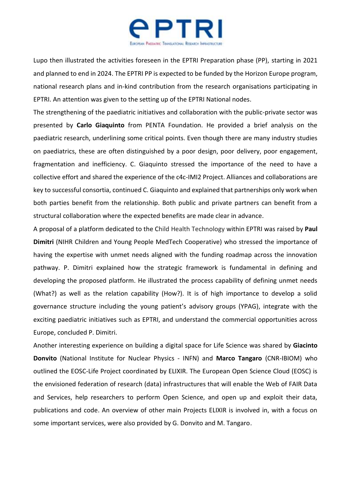

Lupo then illustrated the activities foreseen in the EPTRI Preparation phase (PP), starting in 2021 and planned to end in 2024. The EPTRI PP is expected to be funded by the Horizon Europe program, national research plans and in-kind contribution from the research organisations participating in EPTRI. An attention was given to the setting up of the EPTRI National nodes.

The strengthening of the paediatric initiatives and collaboration with the public-private sector was presented by **Carlo Giaquinto** from PENTA Foundation. He provided a brief analysis on the paediatric research, underlining some critical points. Even though there are many industry studies on paediatrics, these are often distinguished by a poor design, poor delivery, poor engagement, fragmentation and inefficiency. C. Giaquinto stressed the importance of the need to have a collective effort and shared the experience of the c4c-IMI2 Project. Alliances and collaborations are key to successful consortia, continued C. Giaquinto and explained that partnerships only work when both parties benefit from the relationship. Both public and private partners can benefit from a structural collaboration where the expected benefits are made clear in advance.

A proposal of a platform dedicated to the Child Health Technology within EPTRI was raised by **Paul Dimitri** (NIHR Children and Young People MedTech Cooperative) who stressed the importance of having the expertise with unmet needs aligned with the funding roadmap across the innovation pathway. P. Dimitri explained how the strategic framework is fundamental in defining and developing the proposed platform. He illustrated the process capability of defining unmet needs (What?) as well as the relation capability (How?). It is of high importance to develop a solid governance structure including the young patient's advisory groups (YPAG), integrate with the exciting paediatric initiatives such as EPTRI, and understand the commercial opportunities across Europe, concluded P. Dimitri.

publications and code. An overview of other main Projects ELIXIR is involved in, with a focus on Another interesting experience on building a digital space for Life Science was shared by **Giacinto Donvito** (National Institute for Nuclear Physics - INFN) and **Marco Tangaro** (CNR-IBIOM) who outlined the EOSC-Life Project coordinated by ELIXIR. The European Open Science Cloud (EOSC) is the envisioned federation of research (data) infrastructures that will enable the Web of FAIR Data and Services, help researchers to perform Open Science, and open up and exploit their data, some important services, were also provided by G. Donvito and M. Tangaro.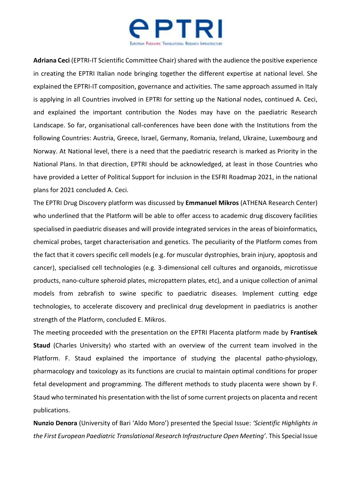

**Adriana Ceci** (EPTRI-IT Scientific Committee Chair) shared with the audience the positive experience in creating the EPTRI Italian node bringing together the different expertise at national level. She explained the EPTRI-IT composition, governance and activities. The same approach assumed in Italy is applying in all Countries involved in EPTRI for setting up the National nodes, continued A. Ceci, and explained the important contribution the Nodes may have on the paediatric Research Landscape. So far, organisational call-conferences have been done with the Institutions from the following Countries: Austria, Greece, Israel, Germany, Romania, Ireland, Ukraine, Luxembourg and Norway. At National level, there is a need that the paediatric research is marked as Priority in the National Plans. In that direction, EPTRI should be acknowledged, at least in those Countries who have provided a Letter of Political Support for inclusion in the ESFRI Roadmap 2021, in the national plans for 2021 concluded A. Ceci.

The EPTRI Drug Discovery platform was discussed by **Emmanuel Mikros** (ATHENA Research Center) who underlined that the Platform will be able to offer access to academic drug discovery facilities specialised in paediatric diseases and will provide integrated services in the areas of bioinformatics, chemical probes, target characterisation and genetics. The peculiarity of the Platform comes from the fact that it covers specific cell models (e.g. for muscular dystrophies, brain injury, apoptosis and cancer), specialised cell technologies (e.g. 3-dimensional cell cultures and organoids, microtissue products, nano-culture spheroid plates, micropattern plates, etc), and a unique collection of animal models from zebrafish to swine specific to paediatric diseases. Implement cutting edge technologies, to accelerate discovery and preclinical drug development in paediatrics is another strength of the Platform, concluded E. Mikros.

The meeting proceeded with the presentation on the EPTRI Placenta platform made by **Frantisek Staud** (Charles University) who started with an overview of the current team involved in the Platform. F. Staud explained the importance of studying the placental patho-physiology, pharmacology and toxicology as its functions are crucial to maintain optimal conditions for proper fetal development and programming. The different methods to study placenta were shown by F. Staud who terminated his presentation with the list of some current projects on placenta and recent publications.

**Nunzio Denora** (University of Bari 'Aldo Moro') presented the Special Issue: *'Scientific Highlights in the First European Paediatric Translational Research Infrastructure Open Meeting'.* This Special Issue